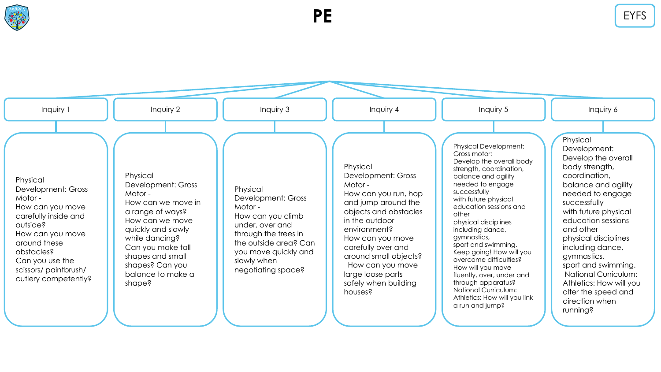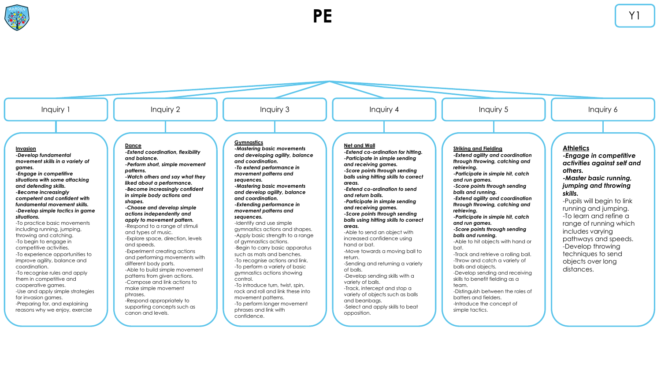**Invasion** *-Develop fundamental movement skills in a variety of games. -Engage in competitive situations with some attacking and defending skills. -Become increasingly competent and confident with fundamental movement skills. -Develop simple tactics in game situations.* -To practice basic movements including running, jumping, throwing and catching. -To begin to engage in competitive activities. -To experience opportunities to improve agility, balance and coordination. -To recognise rules and apply them in competitive and cooperative games. -Use and apply simple strategies for invasion games. -Preparing for, and explaining reasons why we enjoy, exercise **Dance** *-Extend coordination, flexibility and balance. -Perform short, simple movement patterns. -Watch others and say what they liked about a performance. -Become increasingly confident in simple body actions and shapes. -Choose and develop simple actions independently and apply to movement pattern.* -Respond to a range of stimuli and types of music. -Explore space, direction, levels and speeds. -Experiment creating actions and performing movements with different body parts. -Able to build simple movement patterns from given actions. -Compose and link actions to make simple movement phrases. .<br>-Respond appropriately to supporting concepts such as canon and levels. **Gymnastics** *-Mastering basic movements and developing agility, balance and coordination. -To extend performance in movement patterns and sequences. -Mastering basic movements and develop agility, balance and coordination. -Extending performance in movement patterns and sequences.* -Identify and use simple gymnastics actions and shapes. -Apply basic strength to a range of gymnastics actions. -Begin to carry basic apparatus such as mats and benches. -To recognise actions and link. -To perform a variety of basic gymnastics actions showing control. -To introduce turn, twist, spin, rock and roll and link these into movement patterns. -To perform longer movement phrases and link with confidence. **Net and Wall -***Extend co-ordination for hitting. -Participate in simple sending and receiving games. -Score points through sending balls using hitting skills to correct areas. -Extend co-ordination to send and return balls. -Participate in simple sending and receiving games. -Score points through sending balls using hitting skills to correct areas.* -Able to send an object with increased confidence using hand or bat. -Move towards a moving ball to return. -Sending and returning a variety of balls. -Develop sending skills with a variety of balls. -Track, intercept and stop a variety of objects such as balls and beanbags. -Select and apply skills to beat opposition. **Striking and Fielding** *-Extend agility and coordination through throwing, catching and retrieving. -Participate in simple hit, catch and run games. -Score points through sending balls and running. -Extend agility and coordination through throwing, catching and retrieving. -Participate in simple hit, catch and run games. -Score points through sending balls and running.* -Able to hit objects with hand or bat. -Track and retrieve a rolling ball. -Throw and catch a variety of balls and objects. -Develop sending and receiving skills to benefit fielding as a team. -Distinguish between the roles of batters and fielders. -Introduce the concept of simple tactics. **Athletics** *-Engage in competitive activities against self and others. -Master basic running, jumping and throwing skills.* -Pupils will begin to link running and jumping. -To learn and refine a range of running which includes varying pathways and speeds. -Develop throwing techniques to send objects over long distances. Inquiry 1 | | Inquiry 2 | | Inquiry 3 | | Inquiry 4 | | Inquiry 5 | | Inquiry 6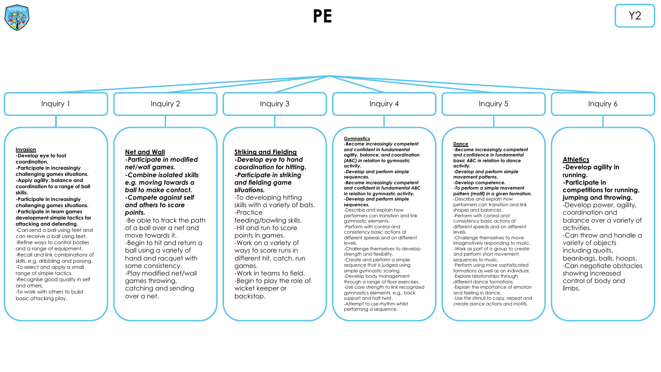



**PE** Y2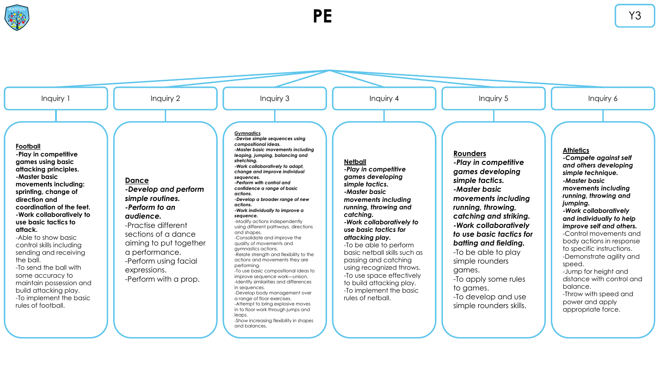

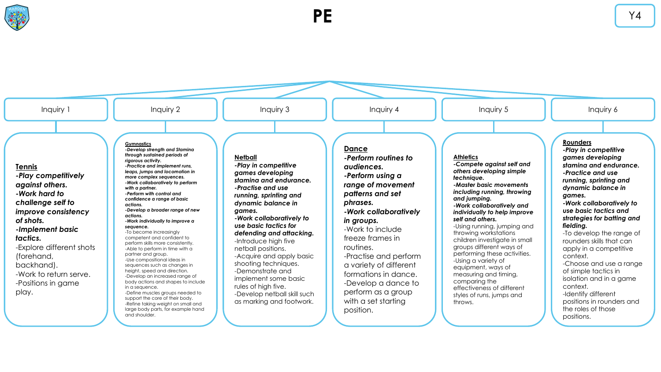

**PE** Y4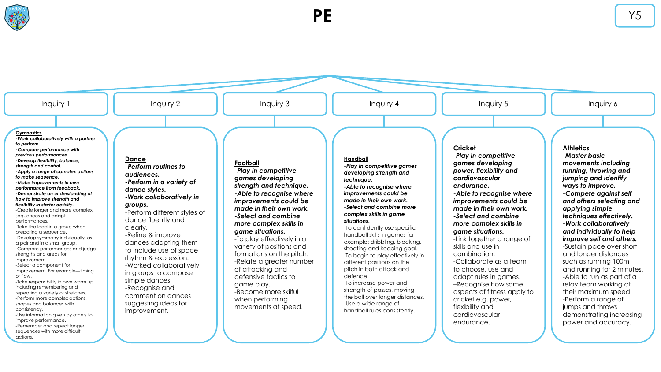

actions.

**PE** Y5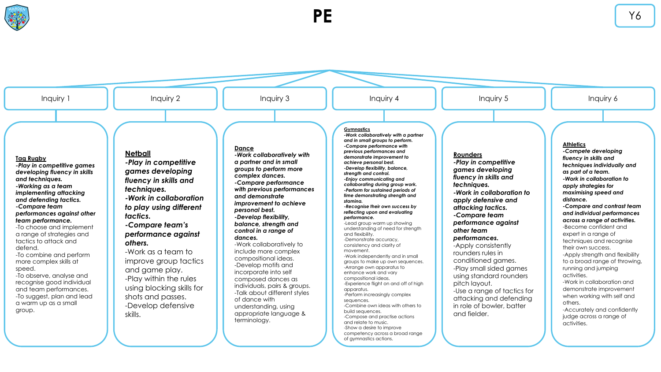